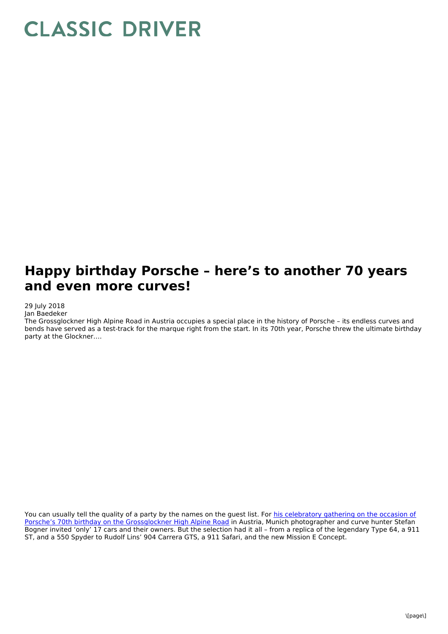## **CLASSIC DRIVER**

## **Happy birthday Porsche – here's to another 70 years and even more curves!**

## 29 July 2018

Jan Baedeker

The Grossglockner High Alpine Road in Austria occupies a special place in the history of Porsche – its endless curves and bends have served as a test-track for the marque right from the start. In its 70th year, Porsche threw the ultimate birthday party at the Glockner….

You can usually tell the quality of a party by the names on the guest list. For his celebratory gathering on the occasion of Porsche's 70th birthday on the [Grossglockner](http://www.curves-magazin.com/blog/our-way-to-celebrate-a-birthday/) High Alpine Road in Austria, Munich photographer and curve hunter Stefan Bogner invited 'only' 17 cars and their owners. But the selection had it all – from a replica of the legendary Type 64, a 911 ST, and a 550 Spyder to Rudolf Lins' 904 Carrera GTS, a 911 Safari, and the new Mission E Concept.